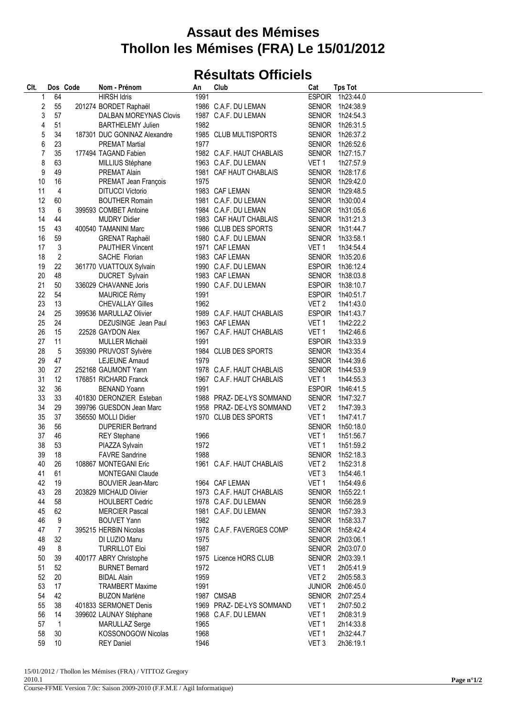## **Assaut des Mémises Thollon les Mémises (FRA) Le 15/01/2012**

## **Résultats Officiels**

| CIt. |                | Dos Code | Nom - Prénom                 | An   | Club                      | Cat              | <b>Tps Tot</b>   |
|------|----------------|----------|------------------------------|------|---------------------------|------------------|------------------|
| 1    | 64             |          | <b>HIRSH Idris</b>           | 1991 |                           |                  | ESPOIR 1h23:44.0 |
| 2    | 55             |          | 201274 BORDET Raphaël        |      | 1986 C.A.F. DU LEMAN      |                  | SENIOR 1h24:38.9 |
| 3    | 57             |          | DALBAN MOREYNAS Clovis       |      | 1987 C.A.F. DU LEMAN      |                  | SENIOR 1h24:54.3 |
| 4    | 51             |          | <b>BARTHELEMY Julien</b>     | 1982 |                           |                  | SENIOR 1h26:31.5 |
| 5    | 34             |          | 187301 DUC GONINAZ Alexandre |      | 1985 CLUB MULTISPORTS     |                  | SENIOR 1h26:37.2 |
| 6    | 23             |          | <b>PREMAT Martial</b>        | 1977 |                           |                  | SENIOR 1h26:52.6 |
| 7    | 35             |          | 177494 TAGAND Fabien         |      | 1982 C.A.F. HAUT CHABLAIS |                  | SENIOR 1h27:15.7 |
| 8    | 63             |          | MILLIUS Stéphane             |      | 1963 C.A.F. DU LEMAN      | VET 1            | 1h27:57.9        |
| 9    | 49             |          | PREMAT Alain                 |      | 1981 CAF HAUT CHABLAIS    |                  | SENIOR 1h28:17.6 |
| 10   | 16             |          | PREMAT Jean François         | 1975 |                           |                  | SENIOR 1h29:42.0 |
| 11   | 4              |          | <b>DITUCCI Victorio</b>      |      | 1983 CAF LEMAN            |                  | SENIOR 1h29:48.5 |
| 12   | 60             |          | <b>BOUTHER Romain</b>        |      | 1981 C.A.F. DU LEMAN      |                  | SENIOR 1h30:00.4 |
| 13   | 6              |          | 399593 COMBET Antoine        |      | 1984 C.A.F. DU LEMAN      |                  | SENIOR 1h31:05.6 |
| 14   | 44             |          | <b>MUDRY Didier</b>          |      | 1983 CAF HAUT CHABLAIS    |                  | SENIOR 1h31:21.3 |
| 15   | 43             |          | 400540 TAMANINI Marc         |      | 1986 CLUB DES SPORTS      |                  | SENIOR 1h31:44.7 |
| 16   | 59             |          | <b>GRENAT Raphaël</b>        |      | 1980 C.A.F. DU LEMAN      |                  | SENIOR 1h33:58.1 |
| 17   | $\mathbf{3}$   |          | <b>PAUTHIER Vincent</b>      |      | 1971 CAF LEMAN            | VET 1            | 1h34:54.4        |
| 18   | $\overline{2}$ |          | SACHE Florian                |      | 1983 CAF LEMAN            |                  | SENIOR 1h35:20.6 |
| 19   | 22             |          | 361770 VUATTOUX Sylvain      |      | 1990 C.A.F. DU LEMAN      |                  | ESPOIR 1h36:12.4 |
|      | 48             |          |                              |      |                           |                  | SENIOR 1h38:03.8 |
| 20   |                |          | DUCRET Sylvain               |      | 1983 CAF LEMAN            |                  |                  |
| 21   | 50             |          | 336029 CHAVANNE Joris        |      | 1990 C.A.F. DU LEMAN      |                  | ESPOIR 1h38:10.7 |
| 22   | 54             |          | <b>MAURICE Rémy</b>          | 1991 |                           |                  | ESPOIR 1h40:51.7 |
| 23   | 13             |          | <b>CHEVALLAY Gilles</b>      | 1962 |                           | VET <sub>2</sub> | 1h41:43.0        |
| 24   | 25             |          | 399536 MARULLAZ Olivier      |      | 1989 C.A.F. HAUT CHABLAIS |                  | ESPOIR 1h41:43.7 |
| 25   | 24             |          | DEZUSINGE Jean Paul          |      | 1963 CAF LEMAN            | VET <sub>1</sub> | 1h42:22.2        |
| 26   | 15             |          | 22528 GAYDON Alex            |      | 1967 C.A.F. HAUT CHABLAIS | VET <sub>1</sub> | 1h42:46.6        |
| 27   | 11             |          | MULLER Michaël               | 1991 |                           |                  | ESPOIR 1h43:33.9 |
| 28   | 5              |          | 359390 PRUVOST Sylvère       |      | 1984 CLUB DES SPORTS      |                  | SENIOR 1h43:35.4 |
| 29   | 47             |          | LEJEUNE Arnaud               | 1979 |                           |                  | SENIOR 1h44:39.6 |
| 30   | 27             |          | 252168 GAUMONT Yann          |      | 1978 C.A.F. HAUT CHABLAIS |                  | SENIOR 1h44:53.9 |
| 31   | 12             |          | 176851 RICHARD Franck        |      | 1967 C.A.F. HAUT CHABLAIS | VET 1            | 1h44:55.3        |
| 32   | 36             |          | <b>BENAND Yoann</b>          | 1991 |                           |                  | ESPOIR 1h46:41.5 |
| 33   | 33             |          | 401830 DERONZIER Esteban     |      | 1988 PRAZ-DE-LYS SOMMAND  |                  | SENIOR 1h47:32.7 |
| 34   | 29             |          | 399796 GUESDON Jean Marc     |      | 1958 PRAZ- DE-LYS SOMMAND | VET 2            | 1h47:39.3        |
| 35   | 37             |          | 356550 MOLLI Didier          |      | 1970 CLUB DES SPORTS      | VET 1            | 1h47:41.7        |
| 36   | 56             |          | <b>DUPERIER Bertrand</b>     |      |                           |                  | SENIOR 1h50:18.0 |
| 37   | 46             |          | <b>REY Stephane</b>          | 1966 |                           | VET 1            | 1h51:56.7        |
| 38   | 53             |          | PIAZZA Sylvain               | 1972 |                           | VET <sub>1</sub> | 1h51:59.2        |
| 39   | 18             |          | <b>FAVRE Sandrine</b>        | 1988 |                           |                  | SENIOR 1h52:18.3 |
| 40   | 26             |          | 108867 MONTEGANI Eric        |      | 1961 C.A.F. HAUT CHABLAIS | VET <sub>2</sub> | 1h52:31.8        |
| 41   | 61             |          | <b>MONTEGANI Claude</b>      |      |                           | VET <sub>3</sub> | 1h54:46.1        |
| 42   | 19             |          | <b>BOUVIER Jean-Marc</b>     |      | 1964 CAF LEMAN            | VET <sub>1</sub> | 1h54:49.6        |
| 43   | 28             |          | 203829 MICHAUD Olivier       |      | 1973 C.A.F. HAUT CHABLAIS |                  | SENIOR 1h55:22.1 |
| 44   | 58             |          | <b>HOULBERT Cedric</b>       |      | 1978 C.A.F. DU LEMAN      |                  | SENIOR 1h56:28.9 |
| 45   | 62             |          | <b>MERCIER Pascal</b>        |      | 1981 C.A.F. DU LEMAN      |                  | SENIOR 1h57:39.3 |
| 46   | 9              |          | <b>BOUVET Yann</b>           | 1982 |                           |                  | SENIOR 1h58:33.7 |
| 47   | $\overline{7}$ |          | 395215 HERBIN Nicolas        |      | 1978 C.A.F. FAVERGES COMP |                  | SENIOR 1h58:42.4 |
| 48   | 32             |          | DI LUZIO Manu                | 1975 |                           |                  | SENIOR 2h03:06.1 |
| 49   | 8              |          | <b>TURRILLOT Eloi</b>        | 1987 |                           |                  | SENIOR 2h03:07.0 |
| 50   | 39             |          | 400177 ABRY Christophe       |      | 1975 Licence HORS CLUB    |                  | SENIOR 2h03:39.1 |
| 51   | 52             |          | <b>BURNET Bernard</b>        | 1972 |                           | VET <sub>1</sub> | 2h05:41.9        |
| 52   | 20             |          | <b>BIDAL Alain</b>           | 1959 |                           | VET <sub>2</sub> | 2h05:58.3        |
| 53   | 17             |          | <b>TRAMBERT Maxime</b>       | 1991 |                           |                  | JUNIOR 2h06:45.0 |
| 54   | 42             |          | <b>BUZON Marlène</b>         |      | 1987 CMSAB                |                  | SENIOR 2h07:25.4 |
| 55   | 38             |          | 401833 SERMONET Denis        |      | 1969 PRAZ- DE-LYS SOMMAND | VET <sub>1</sub> | 2h07:50.2        |
| 56   | 14             |          | 399602 LAUNAY Stéphane       |      | 1968 C.A.F. DU LEMAN      | VET <sub>1</sub> | 2h08:31.9        |
| 57   | $\mathbf 1$    |          | <b>MARULLAZ Serge</b>        | 1965 |                           | VET <sub>1</sub> | 2h14:33.8        |
| 58   | 30             |          | KOSSONOGOW Nicolas           | 1968 |                           | VET <sub>1</sub> | 2h32:44.7        |
| 59   | 10             |          | <b>REY Daniel</b>            | 1946 |                           | VET <sub>3</sub> | 2h36:19.1        |
|      |                |          |                              |      |                           |                  |                  |

15/01/2012 / Thollon les Mémises (FRA) / VITTOZ Gregory 2010.1 Course-FFME Version 7.0c: Saison 2009-2010 (F.F.M.E / Agil Informatique)